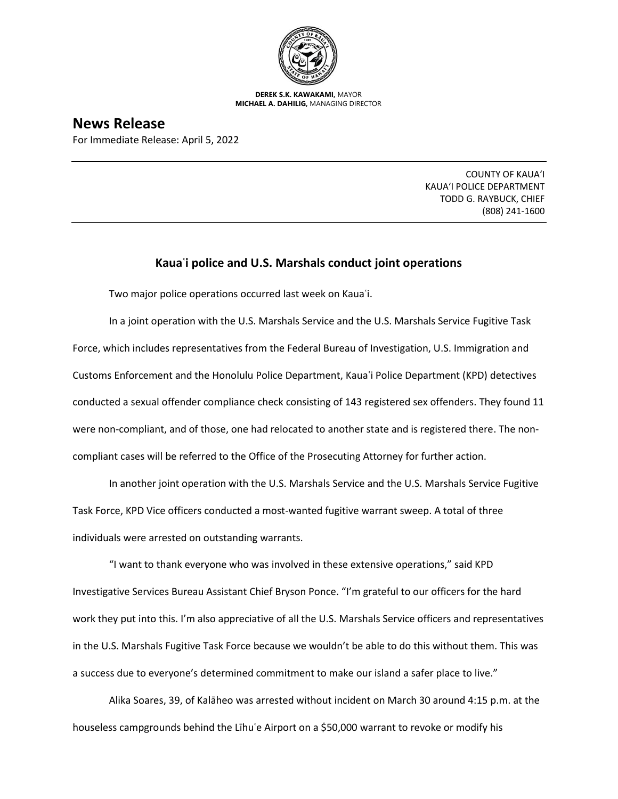

**DEREK S.K. KAWAKAMI,** MAYOR **MICHAEL A. DAHILIG,** MANAGING DIRECTOR

**News Release**

For Immediate Release: April 5, 2022

COUNTY OF KAUA'I KAUA'I POLICE DEPARTMENT TODD G. RAYBUCK, CHIEF (808) 241-1600

## **Kauaʿi police and U.S. Marshals conduct joint operations**

Two major police operations occurred last week on Kauaʿi.

In a joint operation with the U.S. Marshals Service and the U.S. Marshals Service Fugitive Task Force, which includes representatives from the Federal Bureau of Investigation, U.S. Immigration and Customs Enforcement and the Honolulu Police Department, Kauaʿi Police Department (KPD) detectives conducted a sexual offender compliance check consisting of 143 registered sex offenders. They found 11 were non-compliant, and of those, one had relocated to another state and is registered there. The noncompliant cases will be referred to the Office of the Prosecuting Attorney for further action.

In another joint operation with the U.S. Marshals Service and the U.S. Marshals Service Fugitive Task Force, KPD Vice officers conducted a most-wanted fugitive warrant sweep. A total of three individuals were arrested on outstanding warrants.

"I want to thank everyone who was involved in these extensive operations," said KPD Investigative Services Bureau Assistant Chief Bryson Ponce. "I'm grateful to our officers for the hard work they put into this. I'm also appreciative of all the U.S. Marshals Service officers and representatives in the U.S. Marshals Fugitive Task Force because we wouldn't be able to do this without them. This was a success due to everyone's determined commitment to make our island a safer place to live."

Alika Soares, 39, of Kalāheo was arrested without incident on March 30 around 4:15 p.m. at the houseless campgrounds behind the Līhu'e Airport on a \$50,000 warrant to revoke or modify his